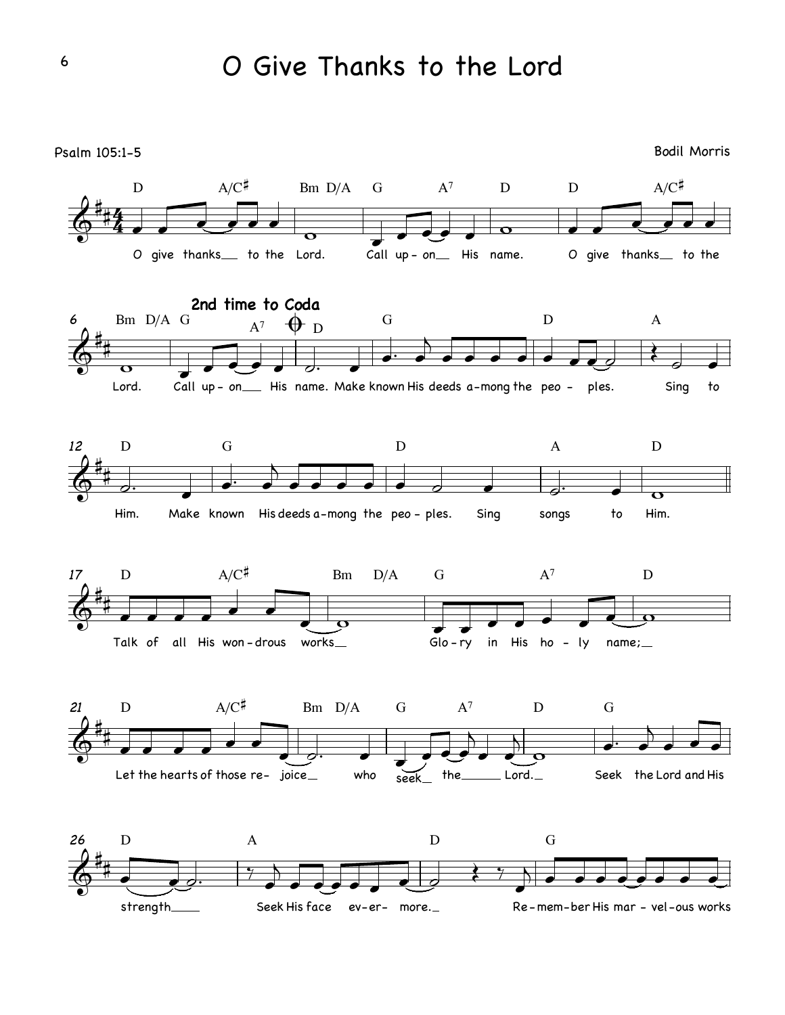Psalm 105:1-5 Bodil Morris